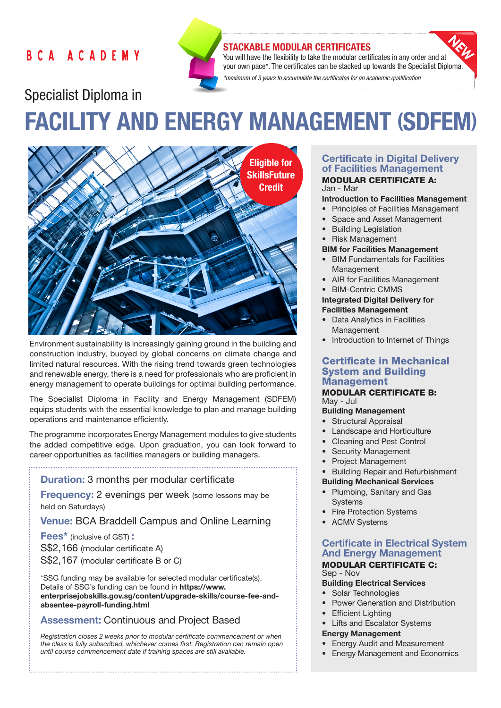# **BCA ACADEMY**



# STACKABLE MODULAR CERTIFICATES

You will have the flexibility to take the modular certificates in any order and at your own pace\*. The certificates can be stacked up towards the Specialist Diploma. *\*maximum of 3 years to accumulate the certificates for an academic qualification* 

# Specialist Diploma in FACILITY AND ENERGY MANAGEMENT (SDFEM)



Environment sustainability is increasingly gaining ground in the building and construction industry, buoyed by global concerns on climate change and limited natural resources. With the rising trend towards green technologies and renewable energy, there is a need for professionals who are proficient in energy management to operate buildings for optimal building performance.

The Specialist Diploma in Facility and Energy Management (SDFEM) equips students with the essential knowledge to plan and manage building operations and maintenance efficiently.

The programme incorporates Energy Management modules to give students the added competitive edge. Upon graduation, you can look forward to career opportunities as facilities managers or building managers.

## Duration: 3 months per modular certificate

**Frequency:** 2 evenings per week (some lessons may be held on Saturdays)

Venue: BCA Braddell Campus and Online Learning

Fees\* (inclusive of GST) : S\$2,166 (modular certificate A) S\$2,167 (modular certificate B or C)

\*SSG funding may be available for selected modular certificate(s). Details of SSG's funding can be found in https://www. enterprisejobskills.gov.sg/content/upgrade-skills/course-fee-andabsentee-payroll-funding.html

# Assessment: Continuous and Project Based

*Registration closes 2 weeks prior to modular certificate commencement or when the class is fully subscribed, whichever comes first. Registration can remain open until course commencement date if training spaces are still available.*

#### Certificate in Digital Delivery of Facilities Management MODULAR CERTIFICATE A: Jan - Mar

# Introduction to Facilities Management

- Principles of Facilities Management
- Space and Asset Management
- Building Legislation
- Risk Management

#### BIM for Facilities Management

- BIM Fundamentals for Facilities Management
- AIR for Facilities Management
- BIM-Centric CMMS

# Integrated Digital Delivery for Facilities Management

- **Data Analytics in Facilities** Management
- Introduction to Internet of Things

# Certificate in Mechanical System and Building Management

#### MODULAR CERTIFICATE B: May - Jul

#### Building Management

- Structural Appraisal
- Landscape and Horticulture
- Cleaning and Pest Control
- Security Management
- Project Management

#### • Building Repair and Refurbishment

## Building Mechanical Services

- Plumbing, Sanitary and Gas **Systems**
- Fire Protection Systems
- ACMV Systems

# Certificate in Electrical System And Energy Management

#### MODULAR CERTIFICATE C: Sep - Nov

# Building Electrical Services

- Solar Technologies
- Power Generation and Distribution
- Efficient Lighting
- **Lifts and Escalator Systems**

#### Energy Management

- Energy Audit and Measurement
- Energy Management and Economics